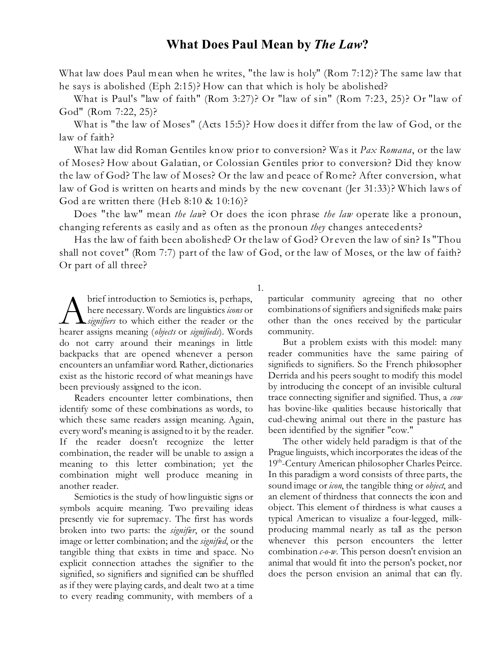## **What Does Paul Mean by** *The Law***?**

What law does Paul mean when he writes, "the law is holy" (Rom 7:12)? The same law that he says is abolished (Eph 2:15)? How can that which is holy be abolished?

What is Paul's "law of faith" (Rom 3:27)? Or "law of sin" (Rom 7:23, 25)? Or "law of God" (Rom 7:22, 25)?

What is "the law of Moses" (Acts 15:5)? How does it differ from the law of God, or the law of faith?

What law did Roman Gentiles know prior to conversion? Was it *Pax Romana*, or the law of Moses? How about Galatian, or Colossian Gentiles prior to conversion? Did they know the law of God? The law of Moses? Or the law and peace of Rome? After conversion, what law of God is written on hearts and minds by the new covenant (Jer 31:33)? Which laws of God are written there (Heb  $8:10 \& 10:16$ )?

Does "the law" mean *the law*? Or does the icon phrase *the law* operate like a pronoun, changing referents as easily and as often as the pronoun *they* changes antecedents?

Has the law of faith been abolished? Or the law of God? Or even the law of sin? Is "Thou shall not covet" (Rom 7:7) part of the law of God, or the law of Moses, or the law of faith? Or part of all three?

1.

**A** brief introduction to Semiotics is, perhaps,<br>here necessary. Words are linguistics *icons* or<br>hearer assigns meaning *(objects* or *signifieds*). Words brief introduction to Semiotics is, perhaps, here necessary. Words are linguistics*icons* or *signifiers* to which either the reader or the do not carry around their meanings in little backpacks that are opened whenever a person encounters an unfamiliar word. Rather, dictionaries exist as the historic record of what meanings have been previously assigned to the icon.

Readers encounter letter combinations, then identify some of these combinations as words, to which these same readers assign meaning. Again, every word's meaning is assigned to it by the reader. If the reader doesn't recognize the letter combination, the reader will be unable to assign a meaning to this letter combination; yet the combination might well produce meaning in another reader.

Semiotics is the study of how linguistic signs or symbols acquire meaning. Two prevailing ideas presently vie for supremacy. The first has words broken into two parts: the *signifier*, or the sound image or letter combination; and the *signified*, or the tangible thing that exists in time and space. No explicit connection attaches the signifier to the signified, so signifiers and signified can be shuffled as if they were playing cards, and dealt two at a time to every reading community, with members of a

particular community agreeing that no other combinations of signifiers and signifieds make pairs other than the ones received by the particular community.

But a problem exists with this model: many reader communities have the same pairing of signifieds to signifiers. So the French philosopher Derrida and his peers sought to modify this model by introducing the concept of an invisible cultural trace connecting signifier and signified. Thus, a *cow* has bovine-like qualities because historically that cud-chewing animal out there in the pasture has been identified by the signifier "cow."

The other widely held paradigm is that of the Prague linguists, which incorporates the ideas of the 19th-Century American philosopher Charles Peirce. In this paradigm a word consists of three parts, the sound image or *icon*, the tangible thing or *object*, and an element of thirdness that connects the icon and object. This element of thirdness is what causes a typical American to visualize a four-legged, milkproducing mammal nearly as tall as the person whenever this person encounters the letter combination *c-o-w*. This person doesn't envision an animal that would fit into the person's pocket, nor does the person envision an animal that can fly.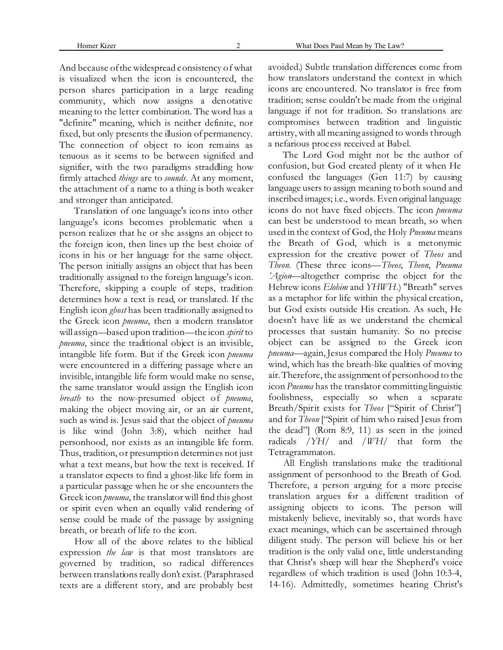And because of the widespread consistency of what is visualized when the icon is encountered, the person shares participation in a large reading community, which now assigns a denotative meaning to the letter combination. The word has a "definite" meaning, which is neither definite, nor fixed, but only presents the illusion of permanency. The connection of object to icon remains as tenuous as it seems to be between signified and signifier, with the two paradigms straddling how firmly attached *things* are to *sounds*. At any moment, the attachment of a name to a thing is both weaker and stronger than anticipated.

Translation of one language's icons into other language's icons becomes problematic when a person realizes that he or she assigns an object to the foreign icon, then lines up the best choice of icons in his or her language for the same object. The person initially assigns an object that has been traditionally assigned to the foreign language's icon. Therefore, skipping a couple of steps, tradition determines how a text is read, or translated. If the English icon *ghost* has been traditionally assigned to the Greek icon *pneuma*, then a modern translator will assign—based upon tradition—the icon *spirit* to *pneuma*, since the traditional object is an invisible, intangible life form. But if the Greek icon *pneuma* were encountered in a differing passage where an invisible, intangible life form would make no sense, the same translator would assign the English icon *breath* to the now-presumed object of *pneuma*, making the object moving air, or an air current, such as wind is. Jesus said that the object of *pneuma* is like wind (John 3:8), which neither had personhood, nor exists as an intangible life form. Thus, tradition, or presumption determines not just what a text means, but how the text is received. If a translator expects to find a ghost-like life form in a particular passage when he or she encounters the Greek icon *pneuma*, the translator will find this ghost or spirit even when an equally valid rendering of sense could be made of the passage by assigning breath, or breath of life to the icon.

How all of the above relates to the biblical expression *the law* is that most translators are governed by tradition, so radical differences between translations really don't exist. (Paraphrased texts are a different story, and are probably best

avoided.) Subtle translation differences come from how translators understand the context in which icons are encountered. No translator is free from tradition; sense couldn't be made from the original language if not for tradition. So translations are compromises between tradition and linguistic artistry, with all meaning assigned to words through a nefarious process received at Babel.

The Lord God might not be the author of confusion, but God created plenty of it when He confused the languages (Gen 11:7) by causing language users to assign meaning to both sound and inscribed images; i.e., words. Even original language icons do not have fixed objects. The icon *pneuma* can best be understood to mean breath, so when used in the context of God, the Holy *Pneuma* means the Breath of God, which is a metonymic expression for the creative power of *Theos* and *Theon*. (These three icons—*Theos*, *Theon*, *Pneuma 'Agion*—altogether comprise the object for the Hebrew icons *Elohim* and *YHWH*.) "Breath" serves as a metaphor for life within the physical creation, but God exists outside His creation. As such, He doesn't have life as we understand the chemical processes that sustain humanity. So no precise object can be assigned to the Greek icon *pneuma—*again, Jesus compared the Holy *Pneuma* to wind, which has the breath-like qualities of moving air. Therefore, the assignment of personhood to the icon *Pneuma* has the translator committing linguistic foolishness, especially so when a separate Breath/Spirit exists for *Theos* ["Spirit of Christ"] and for *Theon* ["Spirit of him who raised Jesus from the dead"] (Rom 8:9, 11) as seen in the joined radicals /*YH*/ and /*WH*/ that form the Tetragrammaton.

All English translations make the traditional assignment of personhood to the Breath of God. Therefore, a person arguing for a more precise translation argues for a different tradition of assigning objects to icons. The person will mistakenly believe, inevitably so, that words have exact meanings, which can be ascertained through diligent study. The person will believe his or her tradition is the only valid one, little understanding that Christ's sheep will hear the Shepherd's voice regardless of which tradition is used (John 10:3-4, 14-16). Admittedly, sometimes hearing Christ's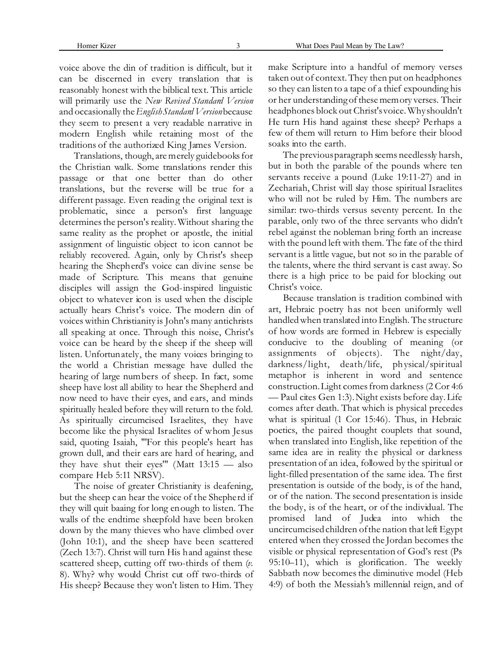voice above the din of tradition is difficult, but it can be discerned in every translation that is reasonably honest with the biblical text. This article will primarily use the *New Revised Standard Version* and occasionally the *English Standard Version* because they seem to present a very readable narrative in modern English while retaining most of the traditions of the authorized King James Version.

Translations, though, are merely guidebooks for the Christian walk. Some translations render this passage or that one better than do other translations, but the reverse will be true for a different passage. Even reading the original text is problematic, since a person's first language determines the person's reality. Without sharing the same reality as the prophet or apostle, the initial assignment of linguistic object to icon cannot be reliably recovered. Again, only by Christ's sheep hearing the Shepherd's voice can divine sense be made of Scripture. This means that genuine disciples will assign the God-inspired linguistic object to whatever icon is used when the disciple actually hears Christ's voice. The modern din of voices within Christianity is John's many antichrists all speaking at once. Through this noise, Christ's voice can be heard by the sheep if the sheep will listen. Unfortunately, the many voices bringing to the world a Christian message have dulled the hearing of large numbers of sheep. In fact, some sheep have lost all ability to hear the Shepherd and now need to have their eyes, and ears, and minds spiritually healed before they will return to the fold. As spiritually circumcised Israelites, they have become like the physical Israelites of whom Jesus said, quoting Isaiah, "'For this people's heart has grown dull, and their ears are hard of hearing, and they have shut their eyes'" (Matt 13:15 — also compare Heb 5:11 NRSV).

The noise of greater Christianity is deafening, but the sheep can hear the voice of the Shepherd if they will quit baaing for long enough to listen. The walls of the endtime sheepfold have been broken down by the many thieves who have climbed over (John 10:1), and the sheep have been scattered (Zech 13:7). Christ will turn His hand against these scattered sheep, cutting off two-thirds of them (*v.* 8). Why? why would Christ cut off two-thirds of His sheep? Because they won't listen to Him. They

make Scripture into a handful of memory verses taken out of context. They then put on headphones so they can listen to a tape of a thief expounding his or her understanding of these memory verses. Their headphones block out Christ's voice. Why shouldn't He turn His hand against these sheep? Perhaps a few of them will return to Him before their blood soaks into the earth.

The previous paragraph seems needlessly harsh, but in both the parable of the pounds where ten servants receive a pound (Luke 19:11-27) and in Zechariah, Christ will slay those spiritual Israelites who will not be ruled by Him. The numbers are similar: two-thirds versus seventy percent. In the parable, only two of the three servants who didn't rebel against the nobleman bring forth an increase with the pound left with them. The fate of the third servant is a little vague, but not so in the parable of the talents, where the third servant is cast away. So there is a high price to be paid for blocking out Christ's voice.

Because translation is tradition combined with art, Hebraic poetry has not been uniformly well handled when translated into English. The structure of how words are formed in Hebrew is especially conducive to the doubling of meaning (or assignments of objects). The night/day, darkness/light, death/life, physical/spiritual metaphor is inherent in word and sentence construction. Light comes from darkness (2 Cor 4:6 — Paul cites Gen 1:3). Night exists before day. Life comes after death. That which is physical precedes what is spiritual (1 Cor 15:46). Thus, in Hebraic poetics, the paired thought couplets that sound, when translated into English, like repetition of the same idea are in reality the physical or darkness presentation of an idea, followed by the spiritual or light-filled presentation of the same idea. The first presentation is outside of the body, is of the hand, or of the nation. The second presentation is inside the body, is of the heart, or of the individual. The promised land of Judea into which the uncircumcised children of the nation that left Egypt entered when they crossed the Jordan becomes the visible or physical representation of God's rest (Ps 95:10–11), which is glorification. The weekly Sabbath now becomes the diminutive model (Heb 4:9) of both the Messiah's millennial reign, and of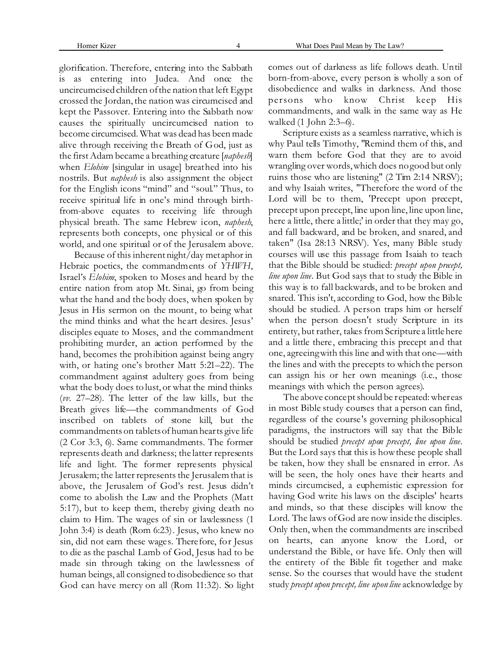glorification. Therefore, entering into the Sabbath is as entering into Judea. And once the uncircumcised children of the nation that left Egypt crossed the Jordan, the nation was circumcised and kept the Passover. Entering into the Sabbath now causes the spiritually uncircumcised nation to become circumcised. What was dead has been made alive through receiving the Breath of God, just as the first Adam became a breathing creature [*naphesh*] when *Elohim* [singular in usage] breathed into his nostrils. But *naphesh* is also assignment the object for the English icons "mind" and "soul." Thus, to receive spiritual life in one's mind through birthfrom-above equates to receiving life through physical breath. The same Hebrew icon, *naphesh*, represents both concepts, one physical or of this world, and one spiritual or of the Jerusalem above.

Because of this inherent night/day metaphor in Hebraic poetics, the commandments of *YHWH*, Israel's *Elohim*, spoken to Moses and heard by the entire nation from atop Mt. Sinai, go from being what the hand and the body does, when spoken by Jesus in His sermon on the mount, to being what the mind thinks and what the heart desires. Jesus' disciples equate to Moses, and the commandment prohibiting murder, an action performed by the hand, becomes the prohibition against being angry with, or hating one's brother Matt 5:21–22). The commandment against adultery goes from being what the body does to lust, or what the mind thinks (*vv.* 27–28). The letter of the law kills, but the Breath gives life—the commandments of God inscribed on tablets of stone kill, but the commandments on tablets of human hearts give life (2 Cor 3:3, 6). Same commandments. The former represents death and darkness; the latter represents life and light. The former represents physical Jerusalem; the latter represents the Jerusalem that is above, the Jerusalem of God's rest. Jesus didn't come to abolish the Law and the Prophets (Matt 5:17), but to keep them, thereby giving death no claim to Him. The wages of sin or lawlessness (1 John 3:4) is death (Rom 6:23). Jesus, who knew no sin, did not earn these wages. Therefore, for Jesus to die as the paschal Lamb of God, Jesus had to be made sin through taking on the lawlessness of human beings, all consigned to disobedience so that God can have mercy on all (Rom 11:32). So light comes out of darkness as life follows death. Until born-from-above, every person is wholly a son of disobedience and walks in darkness. And those persons who know Christ keep His commandments, and walk in the same way as He walked (1 John 2:3–6).

Scripture exists as a seamless narrative, which is why Paul tells Timothy, "Remind them of this, and warn them before God that they are to avoid wrangling over words, which does no good but only ruins those who are listening" (2 Tim 2:14 NRSV); and why Isaiah writes, "Therefore the word of the Lord will be to them, 'Precept upon precept, precept upon precept, line upon line, line upon line, here a little, there a little;' in order that they may go, and fall backward, and be broken, and snared, and taken" (Isa 28:13 NRSV). Yes, many Bible study courses will use this passage from Isaiah to teach that the Bible should be studied: *precept upon precept, line upon line*. But God says that to study the Bible in this way is to fall backwards, and to be broken and snared. This isn't, according to God, how the Bible should be studied. A person traps him or herself when the person doesn't study Scripture in its entirety, but rather, takes from Scripture a little here and a little there, embracing this precept and that one, agreeing with this line and with that one—with the lines and with the precepts to which the person can assign his or her own meanings (i.e., those meanings with which the person agrees).

The above concept should be repeated: whereas in most Bible study courses that a person can find, regardless of the course's governing philosophical paradigms, the instructors will say that the Bible should be studied *precept upon precept, line upon line*. But the Lord says that this is how these people shall be taken, how they shall be ensnared in error. As will be seen, the holy ones have their hearts and minds circumcised, a euphemistic expression for having God write his laws on the disciples' hearts and minds, so that these disciples will know the Lord. The laws of God are now inside the disciples. Only then, when the commandments are inscribed on hearts, can anyone know the Lord, or understand the Bible, or have life. Only then will the entirety of the Bible fit together and make sense. So the courses that would have the student study *precept upon precept, line upon line* acknowledge by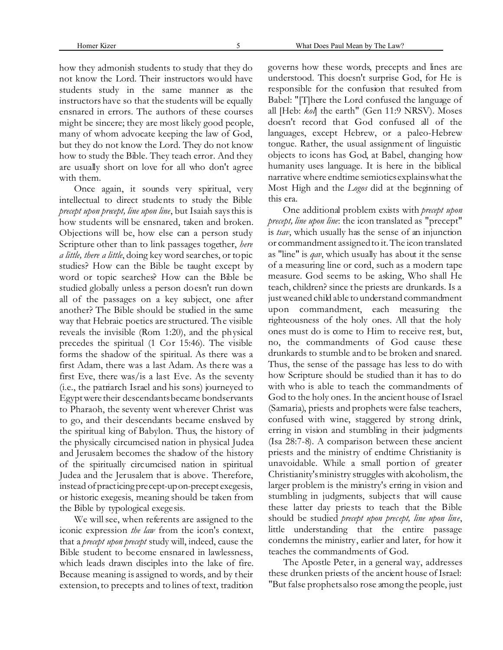how they admonish students to study that they do not know the Lord. Their instructors would have students study in the same manner as the instructors have so that the students will be equally ensnared in errors. The authors of these courses might be sincere; they are most likely good people, many of whom advocate keeping the law of God, but they do not know the Lord. They do not know how to study the Bible. They teach error. And they are usually short on love for all who don't agree with them.

Once again, it sounds very spiritual, very intellectual to direct students to study the Bible *precept upon precept, line upon line*, but Isaiah says this is how students will be ensnared, taken and broken. Objections will be, how else can a person study Scripture other than to link passages together, *here a little, there a little*, doing key word searches, or topic studies? How can the Bible be taught except by word or topic searches? How can the Bible be studied globally unless a person doesn't run down all of the passages on a key subject, one after another? The Bible should be studied in the same way that Hebraic poetics are structured. The visible reveals the invisible (Rom 1:20), and the physical precedes the spiritual (1 Cor 15:46). The visible forms the shadow of the spiritual. As there was a first Adam, there was a last Adam. As there was a first Eve, there was/is a last Eve. As the seventy (i.e., the patriarch Israel and his sons) journeyed to Egypt were their descendants became bondservants to Pharaoh, the seventy went wherever Christ was to go, and their descendants became enslaved by the spiritual king of Babylon. Thus, the history of the physically circumcised nation in physical Judea and Jerusalem becomes the shadow of the history of the spiritually circumcised nation in spiritual Judea and the Jerusalem that is above. Therefore, instead of practicing precept-upon-precept exegesis, or historic exegesis, meaning should be taken from the Bible by typological exegesis.

We will see, when referents are assigned to the iconic expression *the law* from the icon's context, that a *precept upon precept* study will, indeed, cause the Bible student to become ensnared in lawlessness, which leads drawn disciples into the lake of fire. Because meaning is assigned to words, and by their extension, to precepts and to lines of text, tradition governs how these words, precepts and lines are understood. This doesn't surprise God, for He is responsible for the confusion that resulted from Babel: "[T]here the Lord confused the language of all [Heb: *kol*] the earth" (Gen 11:9 NRSV). Moses doesn't record that God confused all of the languages, except Hebrew, or a paleo-Hebrew tongue. Rather, the usual assignment of linguistic objects to icons has God, at Babel, changing how humanity uses language. It is here in the biblical narrative where endtime semiotics explains what the Most High and the *Logos* did at the beginning of this era.

One additional problem exists with *precept upon precept, line upon line*: the icon translated as "precept" is *tsav*, which usually has the sense of an injunction or commandment assigned to it. The icon translated as "line" is *qav*, which usually has about it the sense of a measuring line or cord, such as a modern tape measure. God seems to be asking, Who shall He teach, children? since the priests are drunkards. Is a just weaned child able to understand commandment upon commandment, each measuring the righteousness of the holy ones. All that the holy ones must do is come to Him to receive rest, but, no, the commandments of God cause these drunkards to stumble and to be broken and snared. Thus, the sense of the passage has less to do with how Scripture should be studied than it has to do with who is able to teach the commandments of God to the holy ones. In the ancient house of Israel (Samaria), priests and prophets were false teachers, confused with wine, staggered by strong drink, erring in vision and stumbling in their judgments (Isa 28:7-8). A comparison between these ancient priests and the ministry of endtime Christianity is unavoidable. While a small portion of greater Christianity's ministry struggles with alcoholism, the larger problem is the ministry's erring in vision and stumbling in judgments, subjects that will cause these latter day priests to teach that the Bible should be studied *precept upon precept, line upon line*, little understanding that the entire passage condemns the ministry, earlier and later, for how it teaches the commandments of God.

The Apostle Peter, in a general way, addresses these drunken priests of the ancient house of Israel: "But false prophets also rose among the people, just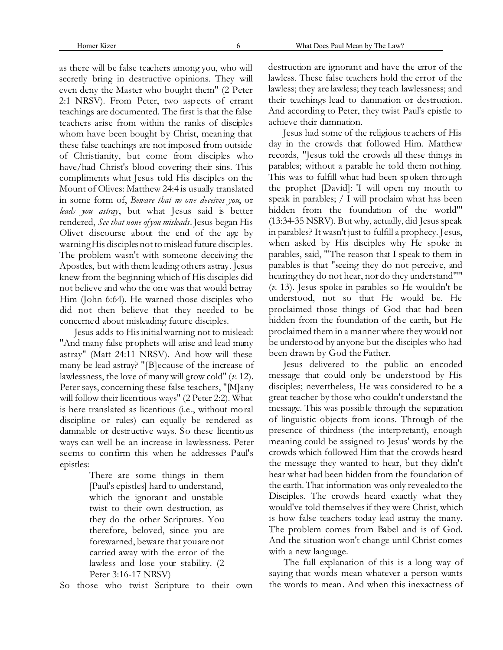as there will be false teachers among you, who will secretly bring in destructive opinions. They will even deny the Master who bought them" (2 Peter 2:1 NRSV). From Peter, two aspects of errant teachings are documented. The first is that the false teachers arise from within the ranks of disciples whom have been bought by Christ, meaning that these false teachings are not imposed from outside of Christianity, but come from disciples who have/had Christ's blood covering their sins. This compliments what Jesus told His disciples on the Mount of Olives: Matthew 24:4 is usually translated in some form of, *Beware that no one deceives you*, or *leads you astray*, but what Jesus said is better rendered, *See that none of you misleads*. Jesus began His Olivet discourse about the end of the age by warning His disciples not to mislead future disciples. The problem wasn't with someone deceiving the Apostles, but with them leading others astray. Jesus knew from the beginning which of His disciples did not believe and who the one was that would betray Him (John 6:64). He warned those disciples who did not then believe that they needed to be concerned about misleading future disciples.

Jesus adds to His initial warning not to mislead: "And many false prophets will arise and lead many astray" (Matt 24:11 NRSV). And how will these many be lead astray? "[B]ecause of the increase of lawlessness, the love of many will grow cold" (*v.* 12). Peter says, concerning these false teachers, "[M]any will follow their licentious ways" (2 Peter 2:2). What is here translated as licentious (i.e., without moral discipline or rules) can equally be rendered as damnable or destructive ways. So these licentious ways can well be an increase in lawlessness. Peter seems to confirm this when he addresses Paul's epistles:

> There are some things in them [Paul's epistles] hard to understand, which the ignorant and unstable twist to their own destruction, as they do the other Scriptures. You therefore, beloved, since you are forewarned, beware that you are not carried away with the error of the lawless and lose your stability. (2 Peter 3:16-17 NRSV)

So those who twist Scripture to their own

destruction are ignorant and have the error of the lawless. These false teachers hold the error of the lawless; they are lawless; they teach lawlessness; and their teachings lead to damnation or destruction. And according to Peter, they twist Paul's epistle to achieve their damnation.

Jesus had some of the religious teachers of His day in the crowds that followed Him. Matthew records, "Jesus told the crowds all these things in parables; without a parable he told them nothing. This was to fulfill what had been spoken through the prophet [David]: 'I will open my mouth to speak in parables; / I will proclaim what has been hidden from the foundation of the world'" (13:34-35 NSRV). But why, actually, did Jesus speak in parables? It wasn't just to fulfill a prophecy. Jesus, when asked by His disciples why He spoke in parables, said, "'The reason that I speak to them in parables is that "seeing they do not perceive, and hearing they do not hear, nor do they understand"'" (*v.* 13). Jesus spoke in parables so He wouldn't be understood, not so that He would be. He proclaimed those things of God that had been hidden from the foundation of the earth, but He proclaimed them in a manner where they would not be understood by anyone but the disciples who had been drawn by God the Father.

Jesus delivered to the public an encoded message that could only be understood by His disciples; nevertheless, He was considered to be a great teacher by those who couldn't understand the message. This was possible through the separation of linguistic objects from icons. Through of the presence of thirdness (the interpretant), enough meaning could be assigned to Jesus' words by the crowds which followed Him that the crowds heard the message they wanted to hear, but they didn't hear what had been hidden from the foundation of the earth. That information was only revealed to the Disciples. The crowds heard exactly what they would've told themselves if they were Christ, which is how false teachers today lead astray the many. The problem comes from Babel and is of God. And the situation won't change until Christ comes with a new language.

The full explanation of this is a long way of saying that words mean whatever a person wants the words to mean. And when this inexactness of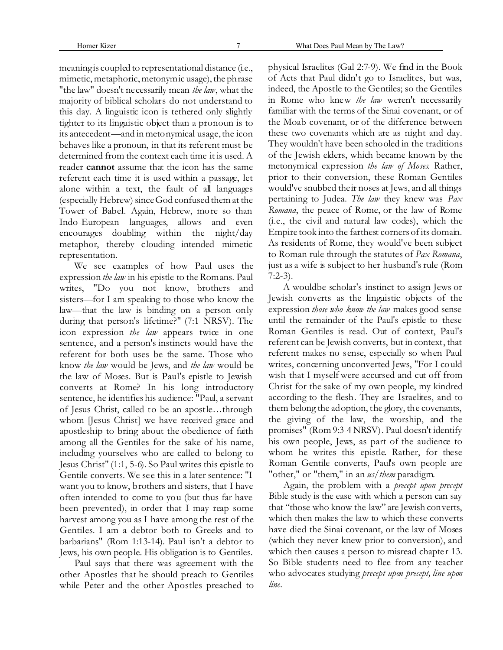meaning is coupled to representational distance (i.e., mimetic, metaphoric, metonymic usage), the phrase "the law" doesn't necessarily mean *the law*, what the majority of biblical scholars do not understand to this day. A linguistic icon is tethered only slightly tighter to its linguistic object than a pronoun is to its antecedent—and in metonymical usage, the icon behaves like a pronoun, in that its referent must be determined from the context each time it is used. A reader **cannot** assume that the icon has the same referent each time it is used within a passage, let alone within a text, the fault of all languages (especially Hebrew) since God confused them at the Tower of Babel. Again, Hebrew, more so than Indo-European languages, allows and even encourages doubling within the night/day metaphor, thereby clouding intended mimetic representation.

We see examples of how Paul uses the expression *the law* in his epistle to the Romans. Paul writes, "Do you not know, brothers and sisters—for I am speaking to those who know the law—that the law is binding on a person only during that person's lifetime?" (7:1 NRSV). The icon expression *the law* appears twice in one sentence, and a person's instincts would have the referent for both uses be the same. Those who know *the law* would be Jews, and *the law* would be the law of Moses. But is Paul's epistle to Jewish converts at Rome? In his long introductory sentence, he identifies his audience: "Paul, a servant of Jesus Christ, called to be an apostle…through whom [Jesus Christ] we have received grace and apostleship to bring about the obedience of faith among all the Gentiles for the sake of his name, including yourselves who are called to belong to Jesus Christ" (1:1, 5-6). So Paul writes this epistle to Gentile converts. We see this in a later sentence: "I want you to know, brothers and sisters, that I have often intended to come to you (but thus far have been prevented), in order that I may reap some harvest among you as I have among the rest of the Gentiles. I am a debtor both to Greeks and to barbarians" (Rom 1:13-14). Paul isn't a debtor to Jews, his own people. His obligation is to Gentiles.

Paul says that there was agreement with the other Apostles that he should preach to Gentiles while Peter and the other Apostles preached to

physical Israelites (Gal 2:7-9). We find in the Book of Acts that Paul didn't go to Israelites, but was, indeed, the Apostle to the Gentiles; so the Gentiles in Rome who knew *the law* weren't necessarily familiar with the terms of the Sinai covenant, or of the Moab covenant, or of the difference between these two covenants which are as night and day. They wouldn't have been schooled in the traditions of the Jewish elders, which became known by the metonymical expression *the law of Moses*. Rather, prior to their conversion, these Roman Gentiles would've snubbed their noses at Jews, and all things pertaining to Judea. *The law* they knew was *Pax Romana*, the peace of Rome, or the law of Rome (i.e., the civil and natural law codes), which the Empire took into the farthest corners of its domain. As residents of Rome, they would've been subject to Roman rule through the statutes of *Pax Romana*, just as a wife is subject to her husband's rule (Rom 7:2-3).

A wouldbe scholar's instinct to assign Jews or Jewish converts as the linguistic objects of the expression *those who know the law* makes good sense until the remainder of the Paul's epistle to these Roman Gentiles is read. Out of context, Paul's referent can be Jewish converts, but in context, that referent makes no sense, especially so when Paul writes, concerning unconverted Jews, "For I could wish that I myself were accursed and cut off from Christ for the sake of my own people, my kindred according to the flesh. They are Israelites, and to them belong the adoption, the glory, the covenants, the giving of the law, the worship, and the promises" (Rom 9:3-4 NRSV). Paul doesn't identify his own people, Jews, as part of the audience to whom he writes this epistle. Rather, for these Roman Gentile converts, Paul's own people are "other," or "them," in an *us/them* paradigm.

Again, the problem with a *precept upon precept* Bible study is the ease with which a person can say that "those who know the law" are Jewish converts, which then makes the law to which these converts have died the Sinai covenant, or the law of Moses (which they never knew prior to conversion), and which then causes a person to misread chapter 13. So Bible students need to flee from any teacher who advocates studying *precept upon precept, line upon line*.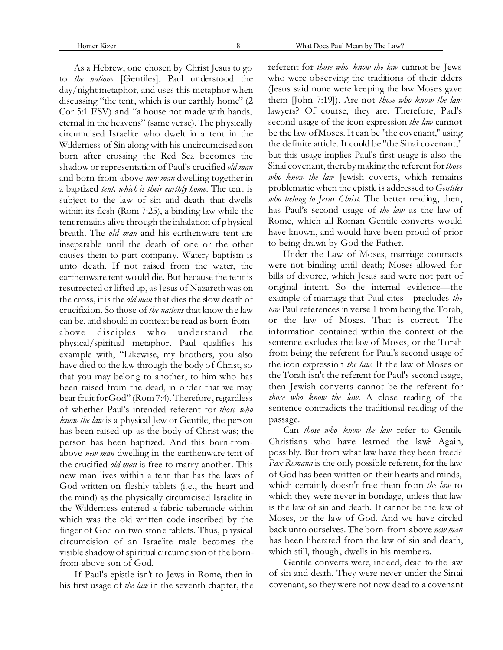Homer Kizer 8 What Does Paul Mean by The Law?

As a Hebrew, one chosen by Christ Jesus to go to *the nations* [Gentiles], Paul understood the day/night metaphor, and uses this metaphor when discussing "the tent, which is our earthly home" (2 Cor 5:1 ESV) and "a house not made with hands, eternal in the heavens" (same verse). The physically circumcised Israelite who dwelt in a tent in the Wilderness of Sin along with his uncircumcised son born after crossing the Red Sea becomes the shadow or representation of Paul's crucified *old man* and born-from-above *new man* dwelling together in a baptized *tent, which is their earthly home*. The tent is subject to the law of sin and death that dwells within its flesh (Rom 7:25), a binding law while the tent remains alive through the inhalation of physical breath. The *old man* and his earthenware tent are inseparable until the death of one or the other causes them to part company. Watery baptism is unto death. If not raised from the water, the earthenware tent would die. But because the tent is resurrected or lifted up, as Jesus of Nazareth was on the cross, it is the *old man* that dies the slow death of crucifixion. So those of *the nations* that know the law can be, and should in context be read as born-fromabove disciples who understand the physical/spiritual metaphor. Paul qualifies his example with, "Likewise, my brothers, you also have died to the law through the body of Christ, so that you may belong to another, to him who has been raised from the dead, in order that we may bear fruit for God" (Rom 7:4). Therefore, regardless of whether Paul's intended referent for *those who know the law* is a physical Jew or Gentile, the person has been raised up as the body of Christ was; the person has been baptized. And this born-fromabove *new man* dwelling in the earthenware tent of the crucified *old man* is free to marry another. This new man lives within a tent that has the laws of God written on fleshly tablets (i.e., the heart and the mind) as the physically circumcised Israelite in the Wilderness entered a fabric tabernacle within which was the old written code inscribed by the finger of God on two stone tablets. Thus, physical circumcision of an Israelite male becomes the visible shadow of spiritual circumcision of the bornfrom-above son of God.

If Paul's epistle isn't to Jews in Rome, then in his first usage of *the law* in the seventh chapter, the referent for *those who know the law* cannot be Jews who were observing the traditions of their elders (Jesus said none were keeping the law Moses gave them [John 7:19]). Are not *those who know the law* lawyers? Of course, they are. Therefore, Paul's second usage of the icon expression *the law* cannot be the law of Moses. It can be "the covenant," using the definite article. It could be "the Sinai covenant," but this usage implies Paul's first usage is also the Sinai covenant, thereby making the referent for *those who know the law* Jewish coverts, which remains problematic when the epistle is addressed to *Gentiles who belong to Jesus Christ*. The better reading, then, has Paul's second usage of *the law* as the law of Rome, which all Roman Gentile converts would have known, and would have been proud of prior to being drawn by God the Father.

Under the Law of Moses, marriage contracts were not binding until death; Moses allowed for bills of divorce, which Jesus said were not part of original intent. So the internal evidence—the example of marriage that Paul cites—precludes *the law* Paul references in verse 1 from being the Torah, or the law of Moses. That is correct. The information contained within the context of the sentence excludes the law of Moses, or the Torah from being the referent for Paul's second usage of the icon expression *the law.* If the law of Moses or the Torah isn't the referent for Paul's second usage, then Jewish converts cannot be the referent for *those who know the law*. A close reading of the sentence contradicts the traditional reading of the passage.

Can *those who know the law* refer to Gentile Christians who have learned the law? Again, possibly. But from what law have they been freed? *Pax Romana* is the only possible referent, for the law of God has been written on their hearts and minds, which certainly doesn't free them from *the law* to which they were never in bondage, unless that law is the law of sin and death. It cannot be the law of Moses, or the law of God. And we have circled back unto ourselves. The born-from-above *new man* has been liberated from the law of sin and death, which still, though, dwells in his members.

Gentile converts were, indeed, dead to the law of sin and death. They were never under the Sinai covenant, so they were not now dead to a covenant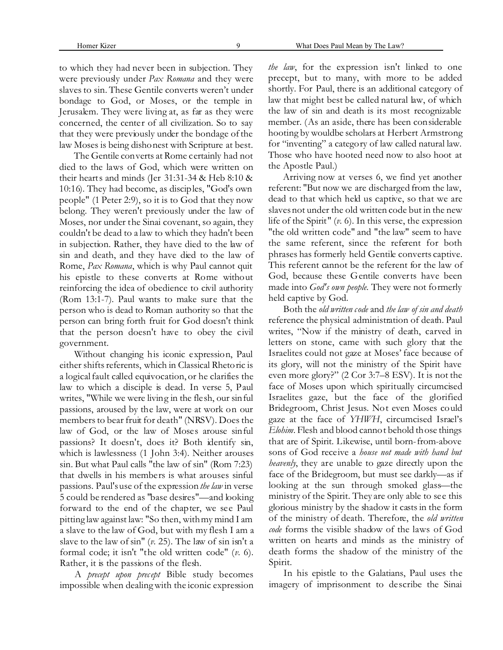to which they had never been in subjection. They were previously under *Pax Romana* and they were slaves to sin. These Gentile converts weren't under bondage to God, or Moses, or the temple in Jerusalem. They were living at, as far as they were concerned, the center of all civilization. So to say that they were previously under the bondage of the law Moses is being dishonest with Scripture at best.

The Gentile converts at Rome certainly had not died to the laws of God, which were written on their hearts and minds (Jer 31:31-34 & Heb 8:10 & 10:16). They had become, as disciples, "God's own people" (1 Peter 2:9), so it is to God that they now belong. They weren't previously under the law of Moses, nor under the Sinai covenant, so again, they couldn't be dead to a law to which they hadn't been in subjection. Rather, they have died to the law of sin and death, and they have died to the law of Rome, *Pax Romana*, which is why Paul cannot quit his epistle to these converts at Rome without reinforcing the idea of obedience to civil authority (Rom 13:1-7). Paul wants to make sure that the person who is dead to Roman authority so that the person can bring forth fruit for God doesn't think that the person doesn't have to obey the civil government.

Without changing his iconic expression, Paul either shifts referents, which in Classical Rhetoric is a logical fault called equivocation, or he clarifies the law to which a disciple is dead. In verse 5, Paul writes, "While we were living in the flesh, our sinful passions, aroused by the law, were at work on our members to bear fruit for death" (NRSV). Does the law of God, or the law of Moses arouse sinful passions? It doesn't, does it? Both identify sin, which is lawlessness (1 John 3:4). Neither arouses sin. But what Paul calls "the law of sin" (Rom 7:23) that dwells in his members is what arouses sinful passions. Paul's use of the expression *the law* in verse 5 could be rendered as "base desires"—and looking forward to the end of the chapter, we see Paul pitting law against law: "So then, with my mind I am a slave to the law of God, but with my flesh I am a slave to the law of sin" (*v.* 25). The law of sin isn't a formal code; it isn't "the old written code" (*v.* 6). Rather, it is the passions of the flesh.

A *precept upon precept* Bible study becomes impossible when dealing with the iconic expression *the law*, for the expression isn't linked to one precept, but to many, with more to be added shortly. For Paul, there is an additional category of law that might best be called natural law, of which the law of sin and death is its most recognizable member. (As an aside, there has been considerable hooting by wouldbe scholars at Herbert Armstrong for "inventing" a category of law called natural law. Those who have hooted need now to also hoot at the Apostle Paul.)

Arriving now at verses 6, we find yet another referent: "But now we are discharged from the law, dead to that which held us captive, so that we are slaves not under the old written code but in the new life of the Spirit" (*v.* 6). In this verse, the expression "the old written code" and "the law" seem to have the same referent, since the referent for both phrases has formerly held Gentile converts captive. This referent cannot be the referent for the law of God, because these Gentile converts have been made into *God's own people*. They were not formerly held captive by God.

Both the *old written code* and *the law of sin and death* reference the physical administration of death. Paul writes, "Now if the ministry of death, carved in letters on stone, came with such glory that the Israelites could not gaze at Moses' face because of its glory, will not the ministry of the Spirit have even more glory?" (2 Cor 3:7–8 ESV). It is not the face of Moses upon which spiritually circumcised Israelites gaze, but the face of the glorified Bridegroom, Christ Jesus. Not even Moses could gaze at the face of *YHWH*, circumcised Israel's *Elohim*. Flesh and blood cannot behold those things that are of Spirit. Likewise, until born-from-above sons of God receive a *house not made with hand but heavenly*, they are unable to gaze directly upon the face of the Bridegroom, but must see darkly—as if looking at the sun through smoked glass—the ministry of the Spirit. They are only able to see this glorious ministry by the shadow it casts in the form of the ministry of death. Therefore, the *old written code* forms the visible shadow of the laws of God written on hearts and minds as the ministry of death forms the shadow of the ministry of the Spirit.

In his epistle to the Galatians, Paul uses the imagery of imprisonment to describe the Sinai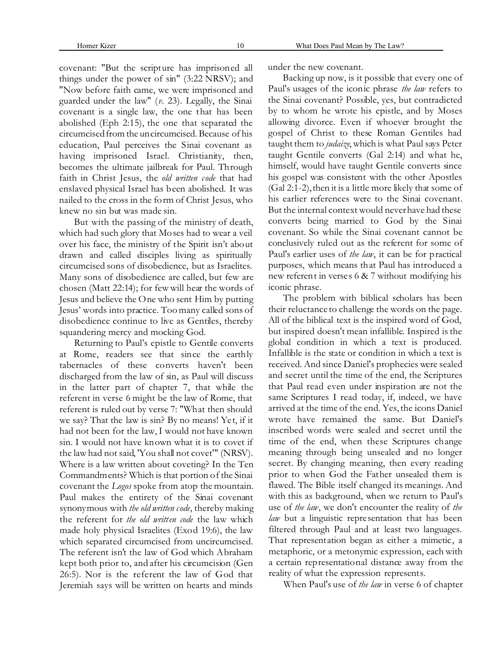covenant: "But the scripture has imprisoned all things under the power of sin" (3:22 NRSV); and "Now before faith came, we were imprisoned and guarded under the law" (*v.* 23). Legally, the Sinai covenant is a single law, the one that has been abolished (Eph 2:15), the one that separated the circumcised from the uncircumcised. Because of his education, Paul perceives the Sinai covenant as having imprisoned Israel. Christianity, then, becomes the ultimate jailbreak for Paul. Through faith in Christ Jesus, the *old written code* that had enslaved physical Israel has been abolished. It was nailed to the cross in the form of Christ Jesus, who knew no sin but was made sin.

But with the passing of the ministry of death, which had such glory that Moses had to wear a veil over his face, the ministry of the Spirit isn't about drawn and called disciples living as spiritually circumcised sons of disobedience, but as Israelites. Many sons of disobedience are called, but few are chosen (Matt 22:14); for few will hear the words of Jesus and believe the One who sent Him by putting Jesus' words into practice. Too many called sons of disobedience continue to live as Gentiles, thereby squandering mercy and mocking God.

Returning to Paul's epistle to Gentile converts at Rome, readers see that since the earthly tabernacles of these converts haven't been discharged from the law of sin, as Paul will discuss in the latter part of chapter 7, that while the referent in verse 6 might be the law of Rome, that referent is ruled out by verse 7: "What then should we say? That the law is sin? By no means! Yet, if it had not been for the law, I would not have known sin. I would not have known what it is to covet if the law had not said, 'You shall not covet'" (NRSV). Where is a law written about coveting? In the Ten Commandments? Which is that portion of the Sinai covenant the *Logos* spoke from atop the mountain. Paul makes the entirety of the Sinai covenant synonymous with *the old written code*, thereby making the referent for *the old written code* the law which made holy physical Israelites (Exod 19:6), the law which separated circumcised from uncircumcised. The referent isn't the law of God which Abraham kept both prior to, and after his circumcision (Gen 26:5). Nor is the referent the law of God that Jeremiah says will be written on hearts and minds

under the new covenant.

Backing up now, is it possible that every one of Paul's usages of the iconic phrase *the law* refers to the Sinai covenant? Possible, yes, but contradicted by to whom he wrote his epistle, and by Moses allowing divorce. Even if whoever brought the gospel of Christ to these Roman Gentiles had taught them to *judaize*, which is what Paul says Peter taught Gentile converts (Gal 2:14) and what he, himself, would have taught Gentile converts since his gospel was consistent with the other Apostles (Gal 2:1-2), then it is a little more likely that some of his earlier references were to the Sinai covenant. But the internal context would never have had these converts being married to God by the Sinai covenant. So while the Sinai covenant cannot be conclusively ruled out as the referent for some of Paul's earlier uses of *the law*, it can be for practical purposes, which means that Paul has introduced a new referent in verses 6 & 7 without modifying his iconic phrase.

The problem with biblical scholars has been their reluctance to challenge the words on the page. All of the biblical text is the inspired word of God, but inspired doesn't mean infallible. Inspired is the global condition in which a text is produced. Infallible is the state or condition in which a text is received. And since Daniel's prophecies were sealed and secret until the time of the end, the Scriptures that Paul read even under inspiration are not the same Scriptures I read today, if, indeed, we have arrived at the time of the end. Yes, the icons Daniel wrote have remained the same. But Daniel's inscribed words were sealed and secret until the time of the end, when these Scriptures change meaning through being unsealed and no longer secret. By changing meaning, then every reading prior to when God the Father unsealed them is flawed. The Bible itself changed its meanings. And with this as background, when we return to Paul's use of *the law*, we don't encounter the reality of *the law* but a linguistic representation that has been filtered through Paul and at least two languages. That representation began as either a mimetic, a metaphoric, or a metonymic expression, each with a certain representational distance away from the reality of what the expression represents.

When Paul's use of *the law* in verse 6 of chapter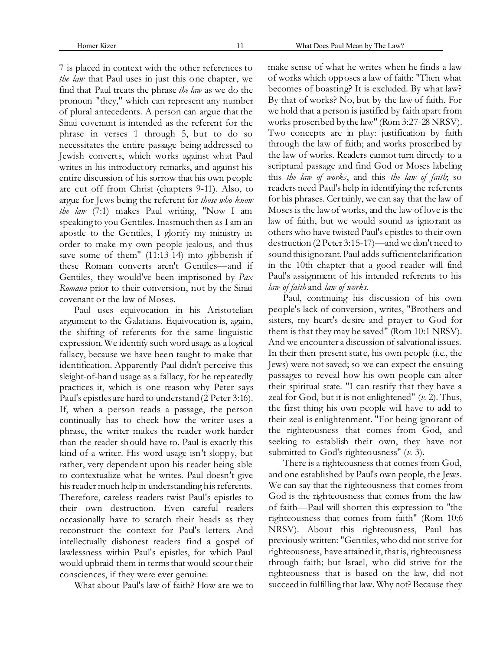7 is placed in context with the other references to *the law* that Paul uses in just this one chapter, we find that Paul treats the phrase *the law* as we do the pronoun "they," which can represent any number of plural antecedents. A person can argue that the Sinai covenant is intended as the referent for the phrase in verses 1 through 5, but to do so necessitates the entire passage being addressed to Jewish converts, which works against what Paul writes in his introductory remarks, and against his entire discussion of his sorrow that his own people are cut off from Christ (chapters 9-11). Also, to argue for Jews being the referent for *those who know the law* (7:1) makes Paul writing, "Now I am speaking to you Gentiles. Inasmuch then as I am an apostle to the Gentiles, I glorify my ministry in order to make my own people jealous, and thus save some of them" (11:13-14) into gibberish if these Roman converts aren't Gentiles—and if Gentiles, they would've been imprisoned by *Pax Romana* prior to their conversion, not by the Sinai covenant or the law of Moses.

Paul uses equivocation in his Aristotelian argument to the Galatians. Equivocation is, again, the shifting of referents for the same linguistic expression. We identify such word usage as a logical fallacy, because we have been taught to make that identification. Apparently Paul didn't perceive this sleight-of-hand usage as a fallacy, for he repeatedly practices it, which is one reason why Peter says Paul's epistles are hard to understand (2 Peter 3:16). If, when a person reads a passage, the person continually has to check how the writer uses a phrase, the writer makes the reader work harder than the reader should have to. Paul is exactly this kind of a writer. His word usage isn't sloppy, but rather, very dependent upon his reader being able to contextualize what he writes. Paul doesn't give his reader much help in understanding his referents. Therefore, careless readers twist Paul's epistles to their own destruction. Even careful readers occasionally have to scratch their heads as they reconstruct the context for Paul's letters. And intellectually dishonest readers find a gospel of lawlessness within Paul's epistles, for which Paul would upbraid them in terms that would scour their consciences, if they were ever genuine.

What about Paul's law of faith? How are we to

make sense of what he writes when he finds a law of works which opposes a law of faith: "Then what becomes of boasting? It is excluded. By what law? By that of works? No, but by the law of faith. For we hold that a person is justified by faith apart from works proscribed by the law" (Rom 3:27-28 NRSV). Two concepts are in play: justification by faith through the law of faith; and works proscribed by the law of works. Readers cannot turn directly to a scriptural passage and find God or Moses labeling this *the law of works*, and this *the law of faith*; so readers need Paul's help in identifying the referents for his phrases. Certainly, we can say that the law of Moses is the law of works, and the law of love is the law of faith, but we would sound as ignorant as others who have twisted Paul's epistles to their own destruction (2 Peter 3:15-17)—and we don't need to sound this ignorant. Paul adds sufficient clarification in the 10th chapter that a good reader will find Paul's assignment of his intended referents to his *law of faith* and *law of works*.

Paul, continuing his discussion of his own people's lack of conversion, writes, "Brothers and sisters, my heart's desire and prayer to God for them is that they may be saved" (Rom 10:1 NRSV). And we encounter a discussion of salvational issues. In their then present state, his own people (i.e., the Jews) were not saved; so we can expect the ensuing passages to reveal how his own people can alter their spiritual state. "I can testify that they have a zeal for God, but it is not enlightened" (*v.* 2). Thus, the first thing his own people will have to add to their zeal is enlightenment. "For being ignorant of the righteousness that comes from God, and seeking to establish their own, they have not submitted to God's righteousness" (*v.* 3).

There is a righteousness that comes from God, and one established by Paul's own people, the Jews. We can say that the righteousness that comes from God is the righteousness that comes from the law of faith—Paul will shorten this expression to "the righteousness that comes from faith" (Rom 10:6 NRSV). About this righteousness, Paul has previously written: "Gentiles, who did not strive for righteousness, have attained it, that is, righteousness through faith; but Israel, who did strive for the righteousness that is based on the law, did not succeed in fulfilling that law. Why not? Because they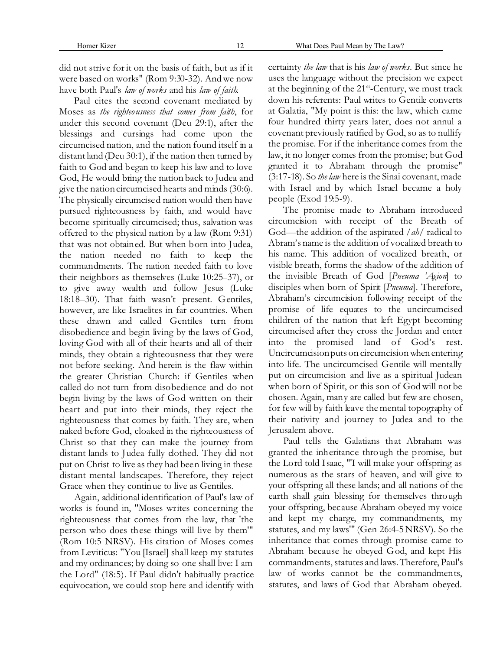Paul cites the second covenant mediated by Moses as *the righteousness that comes from faith*, for under this second covenant (Deu 29:1), after the blessings and cursings had come upon the circumcised nation, and the nation found itself in a distant land (Deu 30:1), if the nation then turned by faith to God and began to keep his law and to love God, He would bring the nation back to Judea and give the nation circumcised hearts and minds (30:6). The physically circumcised nation would then have pursued righteousness by faith, and would have become spiritually circumcised; thus, salvation was offered to the physical nation by a law (Rom 9:31) that was not obtained. But when born into Judea, the nation needed no faith to keep the commandments. The nation needed faith to love their neighbors as themselves (Luke 10:25–37), or to give away wealth and follow Jesus (Luke 18:18–30). That faith wasn't present. Gentiles, however, are like Israelites in far countries. When these drawn and called Gentiles turn from disobedience and begin living by the laws of God, loving God with all of their hearts and all of their minds, they obtain a righteousness that they were not before seeking. And herein is the flaw within the greater Christian Church: if Gentiles when called do not turn from disobedience and do not begin living by the laws of God written on their heart and put into their minds, they reject the righteousness that comes by faith. They are, when naked before God, cloaked in the righteousness of Christ so that they can make the journey from distant lands to Judea fully clothed. They did not put on Christ to live as they had been living in these distant mental landscapes. Therefore, they reject Grace when they continue to live as Gentiles.

Again, additional identification of Paul's law of works is found in, "Moses writes concerning the righteousness that comes from the law, that 'the person who does these things will live by them'" (Rom 10:5 NRSV). His citation of Moses comes from Leviticus: "You [Israel] shall keep my statutes and my ordinances; by doing so one shall live: I am the Lord" (18:5). If Paul didn't habitually practice equivocation, we could stop here and identify with certainty *the law* that is his *law of works*. But since he uses the language without the precision we expect at the beginning of the  $21^{st}$ -Century, we must track down his referents: Paul writes to Gentile converts at Galatia, "My point is this: the law, which came four hundred thirty years later, does not annul a covenant previously ratified by God, so as to nullify the promise. For if the inheritance comes from the law, it no longer comes from the promise; but God granted it to Abraham through the promise" (3:17-18). So *the law* here is the Sinai covenant, made with Israel and by which Israel became a holy people (Exod 19:5-9).

The promise made to Abraham introduced circumcision with receipt of the Breath of God—the addition of the aspirated /*ah*/ radical to Abram's name is the addition of vocalized breath to his name. This addition of vocalized breath, or visible breath, forms the shadow of the addition of the invisible Breath of God [*Pneuma 'Agion*] to disciples when born of Spirit [*Pneuma*]. Therefore, Abraham's circumcision following receipt of the promise of life equates to the uncircumcised children of the nation that left Egypt becoming circumcised after they cross the Jordan and enter into the promised land of God's rest. Uncircumcision puts on circumcision when entering into life. The uncircumcised Gentile will mentally put on circumcision and live as a spiritual Judean when born of Spirit, or this son of God will not be chosen. Again, many are called but few are chosen, for few will by faith leave the mental topography of their nativity and journey to Judea and to the Jerusalem above.

Paul tells the Galatians that Abraham was granted the inheritance through the promise, but the Lord told Isaac, "'I will make your offspring as numerous as the stars of heaven, and will give to your offspring all these lands; and all nations of the earth shall gain blessing for themselves through your offspring, because Abraham obeyed my voice and kept my charge, my commandments, my statutes, and my laws'" (Gen 26:4-5 NRSV). So the inheritance that comes through promise came to Abraham because he obeyed God, and kept His commandments, statutes and laws. Therefore, Paul's law of works cannot be the commandments, statutes, and laws of God that Abraham obeyed.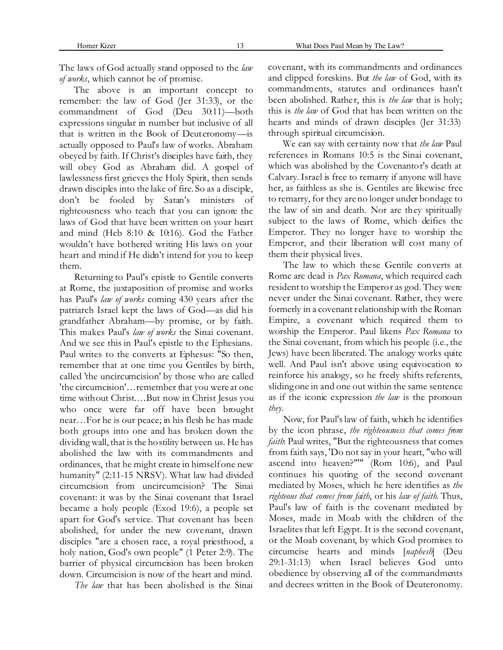The laws of God actually stand opposed to the *law of works*, which cannot be of promise.

The above is an important concept to remember: the law of God (Jer 31:33), or the commandment of God (Deu 30:11)—both expressions singular in number but inclusive of all that is written in the Book of Deuteronomy—is actually opposed to Paul's law of works. Abraham obeyed by faith. If Christ's disciples have faith, they will obey God as Abraham did. A gospel of lawlessness first grieves the Holy Spirit, then sends drawn disciples into the lake of fire. So as a disciple, don't be fooled by Satan's ministers of righteousness who teach that you can ignore the laws of God that have been written on your heart and mind (Heb 8:10 & 10:16). God the Father wouldn't have bothered writing His laws on your heart and mind if He didn't intend for you to keep them.

Returning to Paul's epistle to Gentile converts at Rome, the juxtaposition of promise and works has Paul's *law of works* coming 430 years after the patriarch Israel kept the laws of God—as did his grandfather Abraham—by promise, or by faith. This makes Paul's *law of works* the Sinai covenant. And we see this in Paul's epistle to the Ephesians. Paul writes to the converts at Ephesus: "So then, remember that at one time you Gentiles by birth, called 'the uncircumcision' by those who are called 'the circumcision'…remember that you were at one time without Christ.…But now in Christ Jesus you who once were far off have been brought near…For he is our peace; in his flesh he has made both groups into one and has broken down the dividing wall, that is the hostility between us. He has abolished the law with its commandments and ordinances, that he might create in himself one new humanity" (2:11-15 NRSV). What law had divided circumcision from uncircumcision? The Sinai covenant: it was by the Sinai covenant that Israel became a holy people (Exod 19:6), a people set apart for God's service. That covenant has been abolished, for under the new covenant, drawn disciples "are a chosen race, a royal priesthood, a holy nation, God's own people" (1 Peter 2:9). The barrier of physical circumcision has been broken down. Circumcision is now of the heart and mind.

*The law* that has been abolished is the Sinai

covenant, with its commandments and ordinances and clipped foreskins. But *the law* of God, with its commandments, statutes and ordinances hasn't been abolished. Rather, this is *the law* that is holy; this is *the law* of God that has been written on the hearts and minds of drawn disciples (Jer 31:33) through spiritual circumcision.

We can say with certainty now that *the law* Paul references in Romans 10:5 is the Sinai covenant, which was abolished by the Covenantor's death at Calvary. Israel is free to remarry if anyone will have her, as faithless as she is. Gentiles are likewise free to remarry, for they are no longer under bondage to the law of sin and death. Nor are they spiritually subject to the laws of Rome, which deifies the Emperor. They no longer have to worship the Emperor, and their liberation will cost many of them their physical lives.

The law to which these Gentile converts at Rome are dead is *Pax Romana*, which required each resident to worship the Emperor as god. They were never under the Sinai covenant. Rather, they were formerly in a covenant relationship with the Roman Empire, a covenant which required them to worship the Emperor. Paul likens *Pax Romana* to the Sinai covenant, from which his people (i.e., the Jews) have been liberated. The analogy works quite well. And Paul isn't above using equivocation to reinforce his analogy, so he freely shifts referents, sliding one in and one out within the same sentence as if the iconic expression *the law* is the pronoun *they*.

Now, for Paul's law of faith, which he identifies by the icon phrase, *the righteousness that comes from faith*: Paul writes, "But the righteousness that comes from faith says, 'Do not say in your heart, "who will ascend into heaven?"'" (Rom 10:6), and Paul continues his quoting of the second covenant mediated by Moses, which he here identifies as *the righteous that comes from faith*, or his *law of faith*. Thus, Paul's law of faith is the covenant mediated by Moses, made in Moab with the children of the Israelites that left Egypt. It is the second covenant, or the Moab covenant, by which God promises to circumcise hearts and minds [*naphesh*] (Deu 29:1-31:13) when Israel believes God unto obedience by observing all of the commandments and decrees written in the Book of Deuteronomy.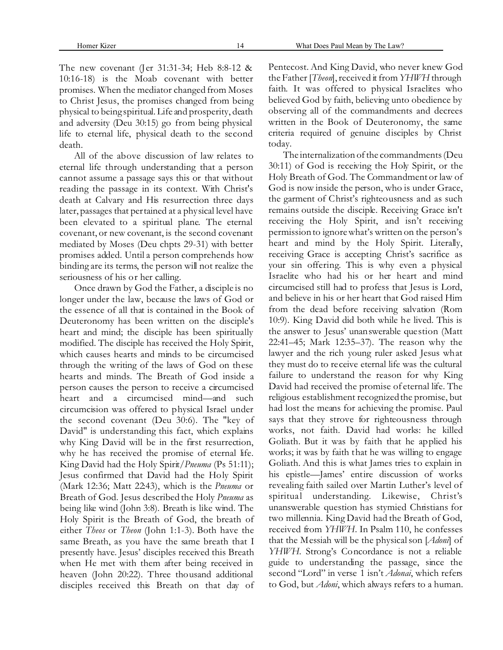Homer Kizer 14 What Does Paul Mean by The Law?

The new covenant (Jer 31:31-34; Heb 8:8-12 & 10:16-18) is the Moab covenant with better promises. When the mediator changed from Moses to Christ Jesus, the promises changed from being physical to being spiritual. Life and prosperity, death and adversity (Deu 30:15) go from being physical life to eternal life, physical death to the second death.

All of the above discussion of law relates to eternal life through understanding that a person cannot assume a passage says this or that without reading the passage in its context. With Christ's death at Calvary and His resurrection three days later, passages that pertained at a physical level have been elevated to a spiritual plane. The eternal covenant, or new covenant, is the second covenant mediated by Moses (Deu chpts 29-31) with better promises added. Until a person comprehends how binding are its terms, the person will not realize the seriousness of his or her calling.

Once drawn by God the Father, a disciple is no longer under the law, because the laws of God or the essence of all that is contained in the Book of Deuteronomy has been written on the disciple's heart and mind; the disciple has been spiritually modified. The disciple has received the Holy Spirit, which causes hearts and minds to be circumcised through the writing of the laws of God on these hearts and minds. The Breath of God inside a person causes the person to receive a circumcised heart and a circumcised mind—and such circumcision was offered to physical Israel under the second covenant (Deu 30:6). The "key of David" is understanding this fact, which explains why King David will be in the first resurrection, why he has received the promise of eternal life. King David had the Holy Spirit/*Pneuma* (Ps 51:11); Jesus confirmed that David had the Holy Spirit (Mark 12:36; Matt 22:43), which is the *Pneuma* or Breath of God. Jesus described the Holy *Pneuma* as being like wind (John 3:8). Breath is like wind. The Holy Spirit is the Breath of God, the breath of either *Theos* or *Theon* (John 1:1-3). Both have the same Breath, as you have the same breath that I presently have. Jesus' disciples received this Breath when He met with them after being received in heaven (John 20:22). Three thousand additional disciples received this Breath on that day of Pentecost. And King David, who never knew God the Father [*Theon*], received it from *YHWH* through faith. It was offered to physical Israelites who believed God by faith, believing unto obedience by observing all of the commandments and decrees written in the Book of Deuteronomy, the same criteria required of genuine disciples by Christ today.

The internalization of the commandments (Deu 30:11) of God is receiving the Holy Spirit, or the Holy Breath of God. The Commandment or law of God is now inside the person, who is under Grace, the garment of Christ's righteousness and as such remains outside the disciple. Receiving Grace isn't receiving the Holy Spirit, and isn't receiving permission to ignore what's written on the person's heart and mind by the Holy Spirit. Literally, receiving Grace is accepting Christ's sacrifice as your sin offering. This is why even a physical Israelite who had his or her heart and mind circumcised still had to profess that Jesus is Lord, and believe in his or her heart that God raised Him from the dead before receiving salvation (Rom 10:9). King David did both while he lived. This is the answer to Jesus' unanswerable question (Matt 22:41–45; Mark 12:35–37). The reason why the lawyer and the rich young ruler asked Jesus what they must do to receive eternal life was the cultural failure to understand the reason for why King David had received the promise of eternal life. The religious establishment recognized the promise, but had lost the means for achieving the promise. Paul says that they strove for righteousness through works, not faith. David had works: he killed Goliath. But it was by faith that he applied his works; it was by faith that he was willing to engage Goliath. And this is what James tries to explain in his epistle—James' entire discussion of works revealing faith sailed over Martin Luther's level of spiritual understanding. Likewise, Christ's unanswerable question has stymied Christians for two millennia. King David had the Breath of God, received from *YHWH*. In Psalm 110, he confesses that the Messiah will be the physical son [*Adoni*] of *YHWH.* Strong's Concordance is not a reliable guide to understanding the passage, since the second "Lord" in verse 1 isn't *Adonai*, which refers to God, but *Adoni*, which always refers to a human.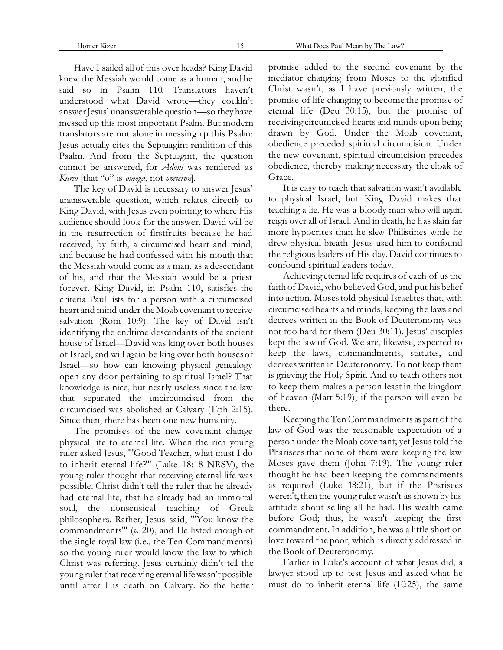Have I sailed all of this over heads? King David knew the Messiah would come as a human, and he said so in Psalm 110. Translators haven't understood what David wrote—they couldn't answer Jesus' unanswerable question—so they have messed up this most important Psalm. But modern translators are not alone in messing up this Psalm: Jesus actually cites the Septuagint rendition of this Psalm. And from the Septuagint, the question cannot be answered, for *Adoni* was rendered as *Kurio* [that "o" is *omega*, not *omicron*].

The key of David is necessary to answer Jesus' unanswerable question, which relates directly to King David, with Jesus even pointing to where His audience should look for the answer. David will be in the resurrection of firstfruits because he had received, by faith, a circumcised heart and mind, and because he had confessed with his mouth that the Messiah would come as a man, as a descendant of his, and that the Messiah would be a priest forever. King David, in Psalm 110, satisfies the criteria Paul lists for a person with a circumcised heart and mind under the Moab covenant to receive salvation (Rom 10:9). The key of David isn't identifying the endtime descendants of the ancient house of Israel—David was king over both houses of Israel, and will again be king over both houses of Israel—so how can knowing physical genealogy open any door pertaining to spiritual Israel? That knowledge is nice, but nearly useless since the law that separated the uncircumcised from the circumcised was abolished at Calvary (Eph 2:15). Since then, there has been one new humanity.

The promises of the new covenant change physical life to eternal life. When the rich young ruler asked Jesus, "'Good Teacher, what must I do to inherit eternal life?'" (Luke 18:18 NRSV), the young ruler thought that receiving eternal life was possible. Christ didn't tell the ruler that he already had eternal life, that he already had an immortal soul, the nonsensical teaching of Greek philosophers. Rather, Jesus said, "'You know the commandments'" (*v.* 20), and He listed enough of the single royal law (i.e., the Ten Commandments) so the young ruler would know the law to which Christ was referring. Jesus certainly didn't tell the young ruler that receiving eternal life wasn't possible until after His death on Calvary. So the better

promise added to the second covenant by the mediator changing from Moses to the glorified Christ wasn't, as I have previously written, the promise of life changing to become the promise of eternal life (Deu 30:15), but the promise of receiving circumcised hearts and minds upon being drawn by God. Under the Moab covenant, obedience preceded spiritual circumcision. Under the new covenant, spiritual circumcision precedes obedience, thereby making necessary the cloak of Grace.

It is easy to teach that salvation wasn't available to physical Israel, but King David makes that teaching a lie. He was a bloody man who will again reign over all of Israel. And in death, he has slain far more hypocrites than he slew Philistines while he drew physical breath. Jesus used him to confound the religious leaders of His day. David continues to confound spiritual leaders today.

Achieving eternal life requires of each of us the faith of David, who believed God, and put his belief into action. Moses told physical Israelites that, with circumcised hearts and minds, keeping the laws and decrees written in the Book of Deuteronomy was not too hard for them (Deu 30:11). Jesus' disciples kept the law of God. We are, likewise, expected to keep the laws, commandments, statutes, and decrees written in Deuteronomy. To not keep them is grieving the Holy Spirit. And to teach others not to keep them makes a person least in the kingdom of heaven (Matt 5:19), if the person will even be there.

Keeping the Ten Commandments as part of the law of God was the reasonable expectation of a person under the Moab covenant; yet Jesus told the Pharisees that none of them were keeping the law Moses gave them (John 7:19). The young ruler thought he had been keeping the commandments as required (Luke 18:21), but if the Pharisees weren't, then the young ruler wasn't as shown by his attitude about selling all he had. His wealth came before God; thus, he wasn't keeping the first commandment. In addition, he was a little short on love toward the poor, which is directly addressed in the Book of Deuteronomy.

Earlier in Luke's account of what Jesus did, a lawyer stood up to test Jesus and asked what he must do to inherit eternal life (10:25), the same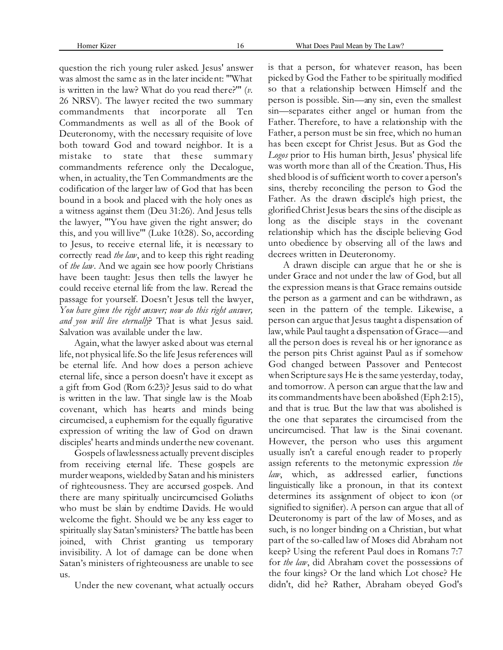question the rich young ruler asked. Jesus' answer was almost the same as in the later incident: "'What is written in the law? What do you read there?'" (*v.* 26 NRSV). The lawyer recited the two summary commandments that incorporate all Ten Commandments as well as all of the Book of Deuteronomy, with the necessary requisite of love both toward God and toward neighbor. It is a mistake to state that these summary commandments reference only the Decalogue, when, in actuality, the Ten Commandments are the codification of the larger law of God that has been bound in a book and placed with the holy ones as a witness against them (Deu 31:26). And Jesus tells the lawyer, "'You have given the right answer; do this, and you will live'" (Luke 10:28). So, according to Jesus, to receive eternal life, it is necessary to correctly read *the law*, and to keep this right reading of *the law*. And we again see how poorly Christians have been taught: Jesus then tells the lawyer he could receive eternal life from the law. Reread the passage for yourself. Doesn't Jesus tell the lawyer, *You have given the right answer; now do this right answer, and you will live eternally*? That is what Jesus said. Salvation was available under the law.

Again, what the lawyer asked about was eternal life, not physical life. So the life Jesus references will be eternal life. And how does a person achieve eternal life, since a person doesn't have it except as a gift from God (Rom 6:23)? Jesus said to do what is written in the law. That single law is the Moab covenant, which has hearts and minds being circumcised, a euphemism for the equally figurative expression of writing the law of God on drawn disciples' hearts and minds under the new covenant.

Gospels of lawlessness actually prevent disciples from receiving eternal life. These gospels are murder weapons, wielded by Satan and his ministers of righteousness. They are accursed gospels. And there are many spiritually uncircumcised Goliaths who must be slain by endtime Davids. He would welcome the fight. Should we be any less eager to spiritually slay Satan's ministers? The battle has been joined, with Christ granting us temporary invisibility. A lot of damage can be done when Satan's ministers of righteousness are unable to see us.

Under the new covenant, what actually occurs

is that a person, for whatever reason, has been picked by God the Father to be spiritually modified so that a relationship between Himself and the person is possible. Sin—any sin, even the smallest sin—separates either angel or human from the Father. Therefore, to have a relationship with the Father, a person must be sin free, which no human has been except for Christ Jesus. But as God the *Logos* prior to His human birth, Jesus' physical life was worth more than all of the Creation. Thus, His shed blood is of sufficient worth to cover a person's sins, thereby reconciling the person to God the Father. As the drawn disciple's high priest, the glorified Christ Jesus bears the sins of the disciple as long as the disciple stays in the covenant relationship which has the disciple believing God unto obedience by observing all of the laws and decrees written in Deuteronomy.

A drawn disciple can argue that he or she is under Grace and not under the law of God, but all the expression means is that Grace remains outside the person as a garment and can be withdrawn, as seen in the pattern of the temple. Likewise, a person can argue that Jesus taught a dispensation of law, while Paul taught a dispensation of Grace—and all the person does is reveal his or her ignorance as the person pits Christ against Paul as if somehow God changed between Passover and Pentecost when Scripture says He is the same yesterday, today, and tomorrow. A person can argue that the law and its commandments have been abolished (Eph 2:15), and that is true. But the law that was abolished is the one that separates the circumcised from the uncircumcised. That law is the Sinai covenant. However, the person who uses this argument usually isn't a careful enough reader to properly assign referents to the metonymic expression *the law*, which, as addressed earlier, functions linguistically like a pronoun, in that its context determines its assignment of object to icon (or signified to signifier). A person can argue that all of Deuteronomy is part of the law of Moses, and as such, is no longer binding on a Christian, but what part of the so-called law of Moses did Abraham not keep? Using the referent Paul does in Romans 7:7 for *the law*, did Abraham covet the possessions of the four kings? Or the land which Lot chose? He didn't, did he? Rather, Abraham obeyed God's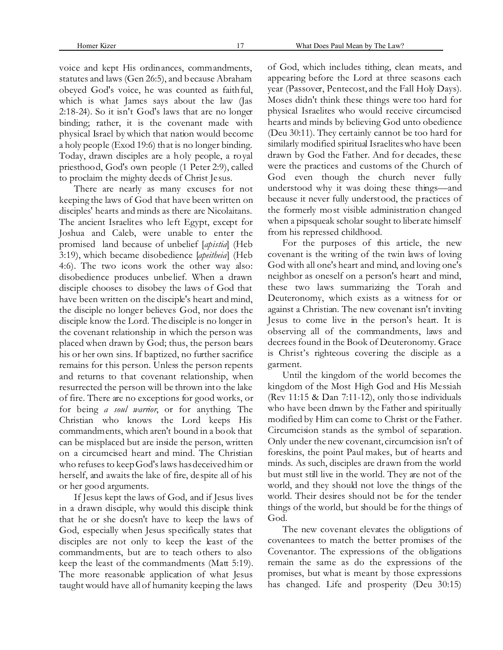## Homer Kizer 17 What Does Paul Mean by The Law?

voice and kept His ordinances, commandments, statutes and laws (Gen 26:5), and because Abraham obeyed God's voice, he was counted as faithful, which is what James says about the law (Jas 2:18-24). So it isn't God's laws that are no longer binding; rather, it is the covenant made with physical Israel by which that nation would become a holy people (Exod 19:6) that is no longer binding. Today, drawn disciples are a holy people, a royal priesthood, God's own people (1 Peter 2:9), called to proclaim the mighty deeds of Christ Jesus.

There are nearly as many excuses for not keeping the laws of God that have been written on disciples' hearts and minds as there are Nicolaitans. The ancient Israelites who left Egypt, except for Joshua and Caleb, were unable to enter the promised land because of unbelief [*apistia*] (Heb 3:19), which became disobedience [*apeitheia*] (Heb 4:6). The two icons work the other way also: disobedience produces unbelief. When a drawn disciple chooses to disobey the laws of God that have been written on the disciple's heart and mind, the disciple no longer believes God, nor does the disciple know the Lord. The disciple is no longer in the covenant relationship in which the person was placed when drawn by God; thus, the person bears his or her own sins. If baptized, no further sacrifice remains for this person. Unless the person repents and returns to that covenant relationship, when resurrected the person will be thrown into the lake of fire. There are no exceptions for good works, or for being *a soul warrior*, or for anything. The Christian who knows the Lord keeps His commandments, which aren't bound in a book that can be misplaced but are inside the person, written on a circumcised heart and mind. The Christian who refuses to keep God's laws has deceived him or herself, and awaits the lake of fire, despite all of his or her good arguments.

If Jesus kept the laws of God, and if Jesus lives in a drawn disciple, why would this disciple think that he or she doesn't have to keep the laws of God, especially when Jesus specifically states that disciples are not only to keep the least of the commandments, but are to teach others to also keep the least of the commandments (Matt 5:19). The more reasonable application of what Jesus taught would have all of humanity keeping the laws

of God, which includes tithing, clean meats, and appearing before the Lord at three seasons each year (Passover, Pentecost, and the Fall Holy Days). Moses didn't think these things were too hard for physical Israelites who would receive circumcised hearts and minds by believing God unto obedience (Deu 30:11). They certainly cannot be too hard for similarly modified spiritual Israelites who have been drawn by God the Father. And for decades, these were the practices and customs of the Church of God even though the church never fully understood why it was doing these things—and because it never fully understood, the practices of the formerly most visible administration changed when a pipsqueak scholar sought to liberate himself from his repressed childhood.

For the purposes of this article, the new covenant is the writing of the twin laws of loving God with all one's heart and mind, and loving one's neighbor as oneself on a person's heart and mind, these two laws summarizing the Torah and Deuteronomy, which exists as a witness for or against a Christian. The new covenant isn't inviting Jesus to come live in the person's heart. It is observing all of the commandments, laws and decrees found in the Book of Deuteronomy. Grace is Christ's righteous covering the disciple as a garment.

Until the kingdom of the world becomes the kingdom of the Most High God and His Messiah (Rev 11:15 & Dan 7:11-12), only those individuals who have been drawn by the Father and spiritually modified by Him can come to Christ or the Father. Circumcision stands as the symbol of separation. Only under the new covenant, circumcision isn't of foreskins, the point Paul makes, but of hearts and minds. As such, disciples are drawn from the world but must still live in the world. They are not of the world, and they should not love the things of the world. Their desires should not be for the tender things of the world, but should be for the things of God.

The new covenant elevates the obligations of covenantees to match the better promises of the Covenantor. The expressions of the obligations remain the same as do the expressions of the promises, but what is meant by those expressions has changed. Life and prosperity (Deu 30:15)